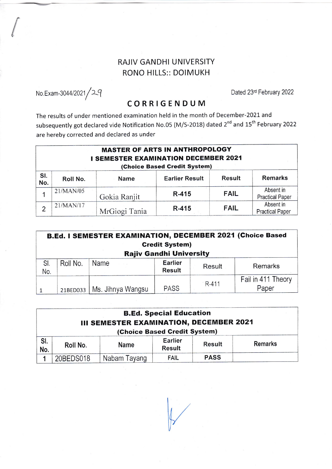## RAJIV GANDHI UNIVERSITY RONO HILLS:: DOIMUKH

No.Exam-3044/2021 *|* 2.9<br>
C O B B L C E N D LL N4<br>
C O B B L C E N D LL N4

(

## CORRIGENDUM

The results of under mentioned examination held in the month of December-2021. and subsequently got declared vide Notification No.05 (M/S-2018) dated 2<sup>nd</sup> and 15<sup>th</sup> February 2022 are hereby corrected and declared as under

| <b>MASTER OF ARTS IN ANTHROPOLOGY</b><br><b>I SEMESTER EXAMINATION DECEMBER 2021</b><br>(Choice Based Credit System) |           |               |                       |               |                                     |  |  |  |
|----------------------------------------------------------------------------------------------------------------------|-----------|---------------|-----------------------|---------------|-------------------------------------|--|--|--|
| SI.<br>No.                                                                                                           | Roll No.  | <b>Name</b>   | <b>Earlier Result</b> | <b>Result</b> | <b>Remarks</b>                      |  |  |  |
|                                                                                                                      | 21/MAN/05 | Gokia Ranjit  | R-415                 | <b>FAIL</b>   | Absent in<br><b>Practical Paper</b> |  |  |  |
| $\overline{2}$                                                                                                       | 21/MAN/17 | MrGiogi Tania | R-415                 | <b>FAIL</b>   | Absent in<br><b>Practical Paper</b> |  |  |  |

| B.Ed. I SEMESTER EXAMINATION, DECEMBER 2021 (Choice Based |          |                              |                                 |        |                             |  |  |  |  |
|-----------------------------------------------------------|----------|------------------------------|---------------------------------|--------|-----------------------------|--|--|--|--|
| <b>Credit System)</b>                                     |          |                              |                                 |        |                             |  |  |  |  |
| <b>Rajiv Gandhi University</b>                            |          |                              |                                 |        |                             |  |  |  |  |
| SI.<br>No.                                                | Roll No. | Name                         | <b>Earlier</b><br><b>Result</b> | Result | Remarks                     |  |  |  |  |
|                                                           |          | 21BED033   Ms. Jihnya Wangsu | <b>PASS</b>                     | R-411  | Fail in 411 Theory<br>Paper |  |  |  |  |

| <b>B.Ed. Special Education</b><br>III SEMESTER EXAMINATION, DECEMBER 2021<br>(Choice Based Credit System) |           |              |                                 |               |                |  |  |  |
|-----------------------------------------------------------------------------------------------------------|-----------|--------------|---------------------------------|---------------|----------------|--|--|--|
| SI.<br>No.                                                                                                | Roll No.  | <b>Name</b>  | <b>Earlier</b><br><b>Result</b> | <b>Result</b> | <b>Remarks</b> |  |  |  |
|                                                                                                           | 20BEDS018 | Nabam Tayang | <b>FAIL</b>                     | <b>PASS</b>   |                |  |  |  |